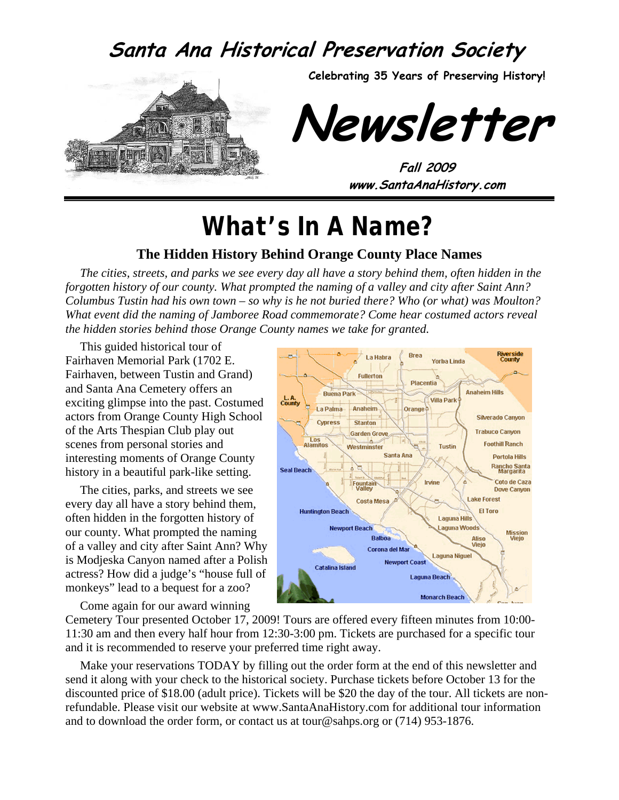### **Santa Ana Historical Preservation Society**



**Celebrating 35 Years of Preserving History!** 

**Newsletter** 

**Fall 2009 www.SantaAnaHistory.com** 

# *What's In A Name?*

#### **The Hidden History Behind Orange County Place Names**

*The cities, streets, and parks we see every day all have a story behind them, often hidden in the forgotten history of our county. What prompted the naming of a valley and city after Saint Ann? Columbus Tustin had his own town – so why is he not buried there? Who (or what) was Moulton? What event did the naming of Jamboree Road commemorate? Come hear costumed actors reveal the hidden stories behind those Orange County names we take for granted.* 

This guided historical tour of Fairhaven Memorial Park (1702 E. Fairhaven, between Tustin and Grand) and Santa Ana Cemetery offers an exciting glimpse into the past. Costumed actors from Orange County High School of the Arts Thespian Club play out scenes from personal stories and interesting moments of Orange County history in a beautiful park-like setting.

The cities, parks, and streets we see every day all have a story behind them, often hidden in the forgotten history of our county. What prompted the naming of a valley and city after Saint Ann? Why is Modjeska Canyon named after a Polish actress? How did a judge's "house full of monkeys" lead to a bequest for a zoo?

Brea Riverside<br>County La Habra **Yorba Linda Fullerton** Placentia **Anaheim Hills Buena Park** L.A.<br>County **Villa Park** La Palma Anaheim Orange Silverado Canvon **Onress** Stanfon **Trabuco Canvon Garden Grove** Los<br>Alamitos **Footbill Ranch Tustin** Westminster Santa Ana **Portola Hills** Rancho Santa<br>Margarita **Seal Beach** Coto de Caza Irvine Fountain **Dove Canyon** Lake Forest **Costa Mesa Huntington Beach** El Toro **Laguna Hills Newport Beach** aguna Woods Mission<br>Viejo **Balboa** Aliso<br>Viejo Corona del Mar **Laguna Niquel Newport Coast Catalina Island Laguna Beach** 

**Monarch Beach** 

Come again for our award winning

Cemetery Tour presented October 17, 2009! Tours are offered every fifteen minutes from 10:00- 11:30 am and then every half hour from 12:30-3:00 pm. Tickets are purchased for a specific tour and it is recommended to reserve your preferred time right away.

Make your reservations TODAY by filling out the order form at the end of this newsletter and send it along with your check to the historical society. Purchase tickets before October 13 for the discounted price of \$18.00 (adult price). Tickets will be \$20 the day of the tour. All tickets are nonrefundable. Please visit our website at www.SantaAnaHistory.com for additional tour information and to download the order form, or contact us at tour@sahps.org or (714) 953-1876.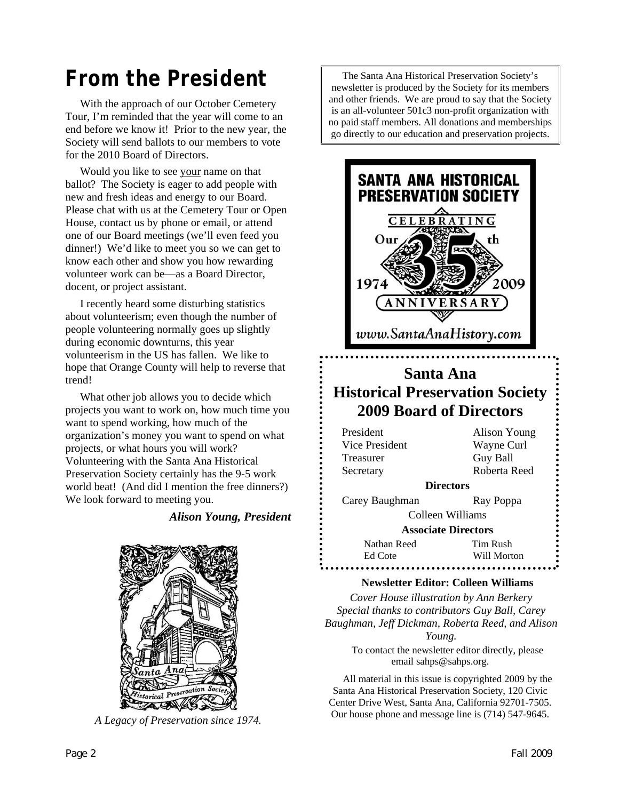## *From the President*

With the approach of our October Cemetery Tour, I'm reminded that the year will come to an end before we know it! Prior to the new year, the Society will send ballots to our members to vote for the 2010 Board of Directors.

Would you like to see your name on that ballot? The Society is eager to add people with new and fresh ideas and energy to our Board. Please chat with us at the Cemetery Tour or Open House, contact us by phone or email, or attend one of our Board meetings (we'll even feed you dinner!) We'd like to meet you so we can get to know each other and show you how rewarding volunteer work can be—as a Board Director, docent, or project assistant.

I recently heard some disturbing statistics about volunteerism; even though the number of people volunteering normally goes up slightly during economic downturns, this year volunteerism in the US has fallen. We like to hope that Orange County will help to reverse that trend!

What other job allows you to decide which projects you want to work on, how much time you want to spend working, how much of the organization's money you want to spend on what projects, or what hours you will work? Volunteering with the Santa Ana Historical Preservation Society certainly has the 9-5 work world beat! (And did I mention the free dinners?) We look forward to meeting you.

#### *Alison Young, President*



*A Legacy of Preservation since 1974.* 

The Santa Ana Historical Preservation Society's newsletter is produced by the Society for its members and other friends. We are proud to say that the Society is an all-volunteer 501c3 non-profit organization with no paid staff members. All donations and memberships go directly to our education and preservation projects.



#### **Newsletter Editor: Colleen Williams**

*Cover House illustration by Ann Berkery Special thanks to contributors Guy Ball, Carey Baughman, Jeff Dickman, Roberta Reed, and Alison Young.*  To contact the newsletter editor directly, please email sahps@sahps.org.

All material in this issue is copyrighted 2009 by the Santa Ana Historical Preservation Society, 120 Civic Center Drive West, Santa Ana, California 92701-7505. Our house phone and message line is (714) 547-9645.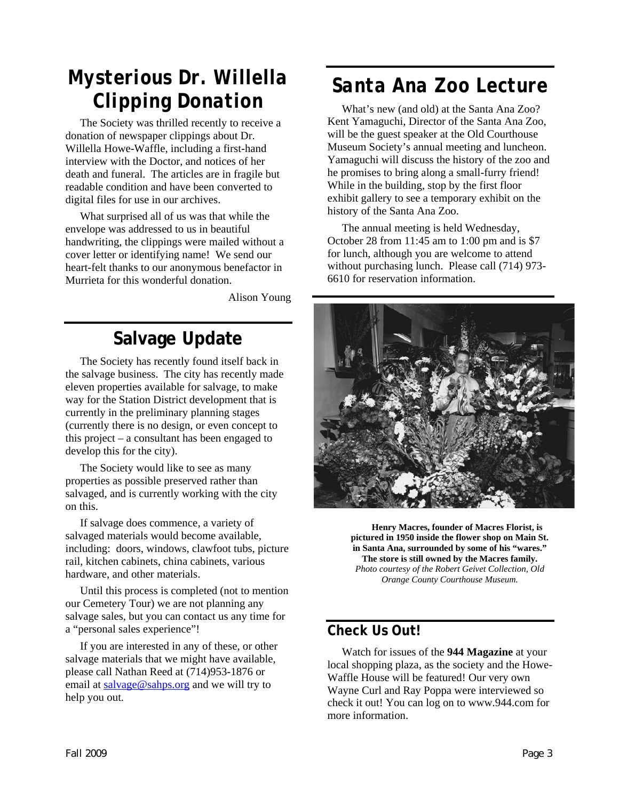## *Mysterious Dr. Willella Clipping Donation*

The Society was thrilled recently to receive a donation of newspaper clippings about Dr. Willella Howe-Waffle, including a first-hand interview with the Doctor, and notices of her death and funeral. The articles are in fragile but readable condition and have been converted to digital files for use in our archives.

What surprised all of us was that while the envelope was addressed to us in beautiful handwriting, the clippings were mailed without a cover letter or identifying name! We send our heart-felt thanks to our anonymous benefactor in Murrieta for this wonderful donation.

Alison Young

### **Salvage Update**

The Society has recently found itself back in the salvage business. The city has recently made eleven properties available for salvage, to make way for the Station District development that is currently in the preliminary planning stages (currently there is no design, or even concept to this project – a consultant has been engaged to develop this for the city).

The Society would like to see as many properties as possible preserved rather than salvaged, and is currently working with the city on this.

If salvage does commence, a variety of salvaged materials would become available, including: doors, windows, clawfoot tubs, picture rail, kitchen cabinets, china cabinets, various hardware, and other materials.

Until this process is completed (not to mention our Cemetery Tour) we are not planning any salvage sales, but you can contact us any time for a "personal sales experience"!

If you are interested in any of these, or other salvage materials that we might have available, please call Nathan Reed at (714)953-1876 or email at [salvage@sahps.org](mailto:salvage@sahps.org) and we will try to help you out.

## *Santa Ana Zoo Lecture*

What's new (and old) at the Santa Ana Zoo? Kent Yamaguchi, Director of the Santa Ana Zoo, will be the guest speaker at the Old Courthouse Museum Society's annual meeting and luncheon. Yamaguchi will discuss the history of the zoo and he promises to bring along a small-furry friend! While in the building, stop by the first floor exhibit gallery to see a temporary exhibit on the history of the Santa Ana Zoo.

The annual meeting is held Wednesday, October 28 from 11:45 am to 1:00 pm and is \$7 for lunch, although you are welcome to attend without purchasing lunch. Please call (714) 973- 6610 for reservation information.



**Henry Macres, founder of Macres Florist, is pictured in 1950 inside the flower shop on Main St. in Santa Ana, surrounded by some of his "wares." The store is still owned by the Macres family.**  *Photo courtesy of the Robert Geivet Collection, Old Orange County Courthouse Museum.* 

#### **Check Us Out!**

Watch for issues of the **944 Magazine** at your local shopping plaza, as the society and the Howe-Waffle House will be featured! Our very own Wayne Curl and Ray Poppa were interviewed so check it out! You can log on to www.944.com for more information.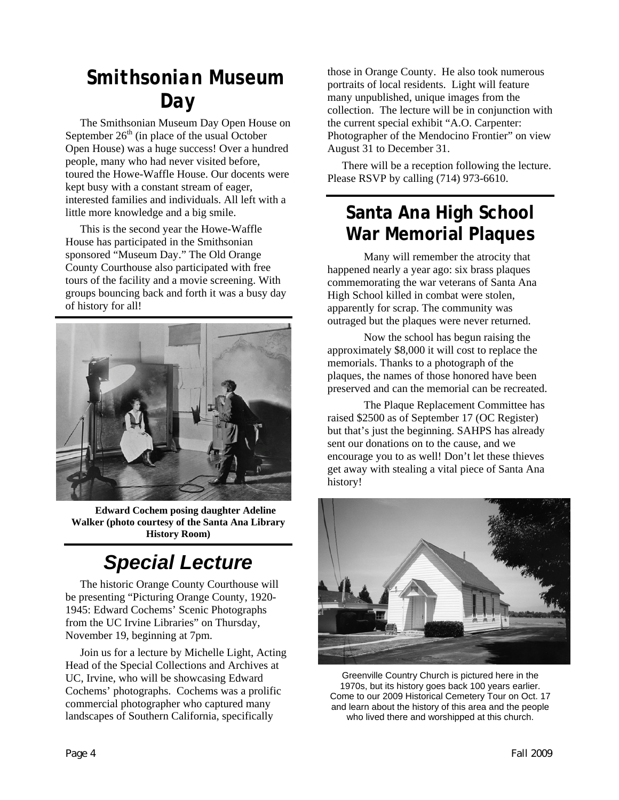## *Smithsonian Museum Day*

The Smithsonian Museum Day Open House on September  $26<sup>th</sup>$  (in place of the usual October Open House) was a huge success! Over a hundred people, many who had never visited before, toured the Howe-Waffle House. Our docents were kept busy with a constant stream of eager, interested families and individuals. All left with a little more knowledge and a big smile.

This is the second year the Howe-Waffle House has participated in the Smithsonian sponsored "Museum Day." The Old Orange County Courthouse also participated with free tours of the facility and a movie screening. With groups bouncing back and forth it was a busy day of history for all!



**Edward Cochem posing daughter Adeline Walker (photo courtesy of the Santa Ana Library History Room)**

# *Special Lecture*

The historic Orange County Courthouse will be presenting "Picturing Orange County, 1920- 1945: Edward Cochems' Scenic Photographs from the UC Irvine Libraries" on Thursday, November 19, beginning at 7pm.

Join us for a lecture by Michelle Light, Acting Head of the Special Collections and Archives at UC, Irvine, who will be showcasing Edward Cochems' photographs. Cochems was a prolific commercial photographer who captured many landscapes of Southern California, specifically

those in Orange County. He also took numerous portraits of local residents. Light will feature many unpublished, unique images from the collection. The lecture will be in conjunction with the current special exhibit "A.O. Carpenter: Photographer of the Mendocino Frontier" on view August 31 to December 31.

There will be a reception following the lecture. Please RSVP by calling (714) 973-6610.

#### **Santa Ana High School War Memorial Plaques**

Many will remember the atrocity that happened nearly a year ago: six brass plaques commemorating the war veterans of Santa Ana High School killed in combat were stolen, apparently for scrap. The community was outraged but the plaques were never returned.

Now the school has begun raising the approximately \$8,000 it will cost to replace the memorials. Thanks to a photograph of the plaques, the names of those honored have been preserved and can the memorial can be recreated.

The Plaque Replacement Committee has raised \$2500 as of September 17 (OC Register) but that's just the beginning. SAHPS has already sent our donations on to the cause, and we encourage you to as well! Don't let these thieves get away with stealing a vital piece of Santa Ana history!



Greenville Country Church is pictured here in the 1970s, but its history goes back 100 years earlier. Come to our 2009 Historical Cemetery Tour on Oct. 17 and learn about the history of this area and the people who lived there and worshipped at this church.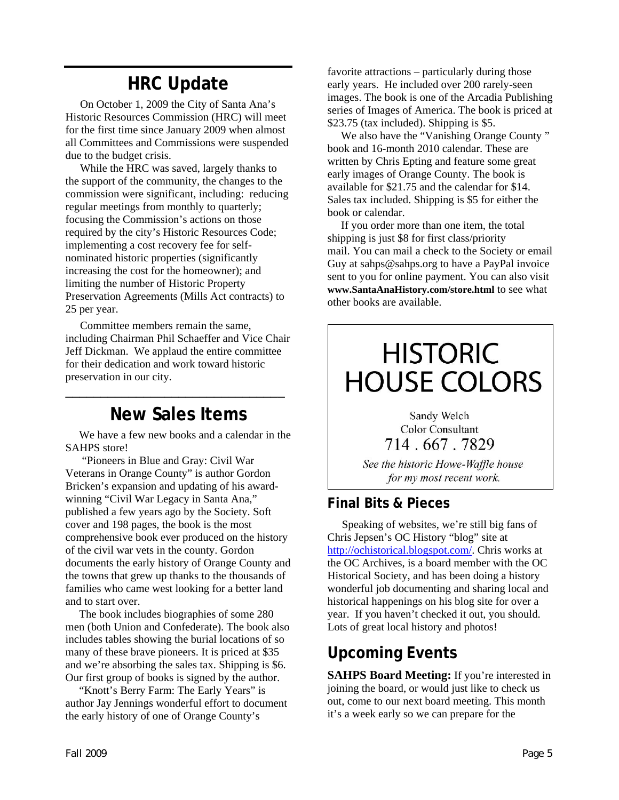## **HRC Update**

On October 1, 2009 the City of Santa Ana's Historic Resources Commission (HRC) will meet for the first time since January 2009 when almost all Committees and Commissions were suspended due to the budget crisis.

While the HRC was saved, largely thanks to the support of the community, the changes to the commission were significant, including: reducing regular meetings from monthly to quarterly; focusing the Commission's actions on those required by the city's Historic Resources Code; implementing a cost recovery fee for selfnominated historic properties (significantly increasing the cost for the homeowner); and limiting the number of Historic Property Preservation Agreements (Mills Act contracts) to 25 per year.

Committee members remain the same, including Chairman Phil Schaeffer and Vice Chair Jeff Dickman. We applaud the entire committee for their dedication and work toward historic preservation in our city.

#### **New Sales Items**

**\_\_\_\_\_\_\_\_\_\_\_\_\_\_\_\_\_\_\_\_\_\_\_\_\_\_\_\_\_\_\_** 

We have a few new books and a calendar in the SAHPS store!

 "Pioneers in Blue and Gray: Civil War Veterans in Orange County" is author Gordon Bricken's expansion and updating of his awardwinning "Civil War Legacy in Santa Ana," published a few years ago by the Society. Soft cover and 198 pages, the book is the most comprehensive book ever produced on the history of the civil war vets in the county. Gordon documents the early history of Orange County and the towns that grew up thanks to the thousands of families who came west looking for a better land and to start over.

The book includes biographies of some 280 men (both Union and Confederate). The book also includes tables showing the burial locations of so many of these brave pioneers. It is priced at \$35 and we're absorbing the sales tax. Shipping is \$6. Our first group of books is signed by the author.

"Knott's Berry Farm: The Early Years" is author Jay Jennings wonderful effort to document the early history of one of Orange County's

favorite attractions – particularly during those early years. He included over 200 rarely-seen images. The book is one of the Arcadia Publishing series of Images of America. The book is priced at \$23.75 (tax included). Shipping is \$5.

We also have the "Vanishing Orange County " book and 16-month 2010 calendar. These are written by Chris Epting and feature some great early images of Orange County. The book is available for \$21.75 and the calendar for \$14. Sales tax included. Shipping is \$5 for either the book or calendar.

If you order more than one item, the total shipping is just \$8 for first class/priority mail. You can mail a check to the Society or email Guy at sahps@sahps.org to have a PayPal invoice sent to you for online payment. You can also visit **www.SantaAnaHistory.com/store.html** to see what other books are available.

# **HISTORIC HOUSE COLORS**

Sandy Welch **Color Consultant** 714, 667, 7829

See the historic Howe-Waffle house for my most recent work.

#### **Final Bits & Pieces**

Speaking of websites, we're still big fans of Chris Jepsen's OC History "blog" site at [http://ochistorical.blogspot.com/.](http://ochistorical.blogspot.com/) Chris works at the OC Archives, is a board member with the OC Historical Society, and has been doing a history wonderful job documenting and sharing local and historical happenings on his blog site for over a year. If you haven't checked it out, you should. Lots of great local history and photos!

#### **Upcoming Events**

**SAHPS Board Meeting:** If you're interested in joining the board, or would just like to check us out, come to our next board meeting. This month it's a week early so we can prepare for the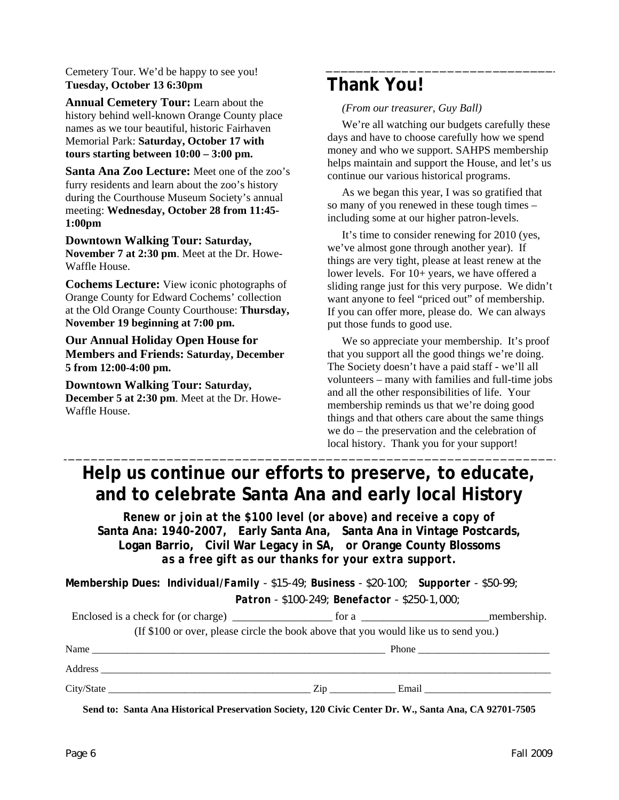Cemetery Tour. We'd be happy to see you! **Tuesday, October 13 6:30pm**

**Annual Cemetery Tour:** Learn about the history behind well-known Orange County place names as we tour beautiful, historic Fairhaven Memorial Park: **Saturday, October 17 with tours starting between 10:00 – 3:00 pm.** 

**Santa Ana Zoo Lecture:** Meet one of the zoo's furry residents and learn about the zoo's history during the Courthouse Museum Society's annual meeting: **Wednesday, October 28 from 11:45- 1:00pm** 

#### **Downtown Walking Tour: Saturday, November 7 at 2:30 pm**. Meet at the Dr. Howe-Waffle House.

**Cochems Lecture:** View iconic photographs of Orange County for Edward Cochems' collection at the Old Orange County Courthouse: **Thursday, November 19 beginning at 7:00 pm.** 

**Our Annual Holiday Open House for Members and Friends: Saturday, December 5 from 12:00-4:00 pm.** 

**Downtown Walking Tour: Saturday, December 5 at 2:30 pm**. Meet at the Dr. Howe-Waffle House.

#### **Thank You!**

*(From our treasurer, Guy Ball)* 

We're all watching our budgets carefully these days and have to choose carefully how we spend money and who we support. SAHPS membership helps maintain and support the House, and let's us continue our various historical programs.

As we began this year, I was so gratified that so many of you renewed in these tough times – including some at our higher patron-levels.

It's time to consider renewing for 2010 (yes, we've almost gone through another year). If things are very tight, please at least renew at the lower levels. For  $10+$  years, we have offered a sliding range just for this very purpose. We didn't want anyone to feel "priced out" of membership. If you can offer more, please do. We can always put those funds to good use.

We so appreciate your membership. It's proof that you support all the good things we're doing. The Society doesn't have a paid staff - we'll all volunteers – many with families and full-time jobs and all the other responsibilities of life. Your membership reminds us that we're doing good things and that others care about the same things we do – the preservation and the celebration of local history. Thank you for your support!

#### **Help us continue our efforts to preserve, to educate, and to celebrate Santa Ana and early local History**

*Renew or join at the \$100 level (or above) and receive a copy of*  **Santa Ana: 1940-2007***,* **Early Santa Ana, Santa Ana in Vintage Postcards, Logan Barrio, Civil War Legacy in SA,** *or* **Orange County Blossoms** *as a free gift as our thanks for your extra support.* 

**Membership Dues:** *Individual/Family - \$15-49; Business - \$20-100; Supporter - \$50-99;* 

 *Patron - \$100-249; Benefactor - \$250-1,000;* 

|            | for a series of the series of the series of the series of the series of the series of the series of the series of the series of the series of the series of the series of the series of the series of the series of the series | membership.           |
|------------|--------------------------------------------------------------------------------------------------------------------------------------------------------------------------------------------------------------------------------|-----------------------|
|            | (If \$100 or over, please circle the book above that you would like us to send you.)                                                                                                                                           |                       |
| Name       |                                                                                                                                                                                                                                | Phone $\qquad \qquad$ |
| Address    |                                                                                                                                                                                                                                |                       |
| City/State | Zip<br>Email                                                                                                                                                                                                                   |                       |

**Send to: Santa Ana Historical Preservation Society, 120 Civic Center Dr. W., Santa Ana, CA 92701-7505**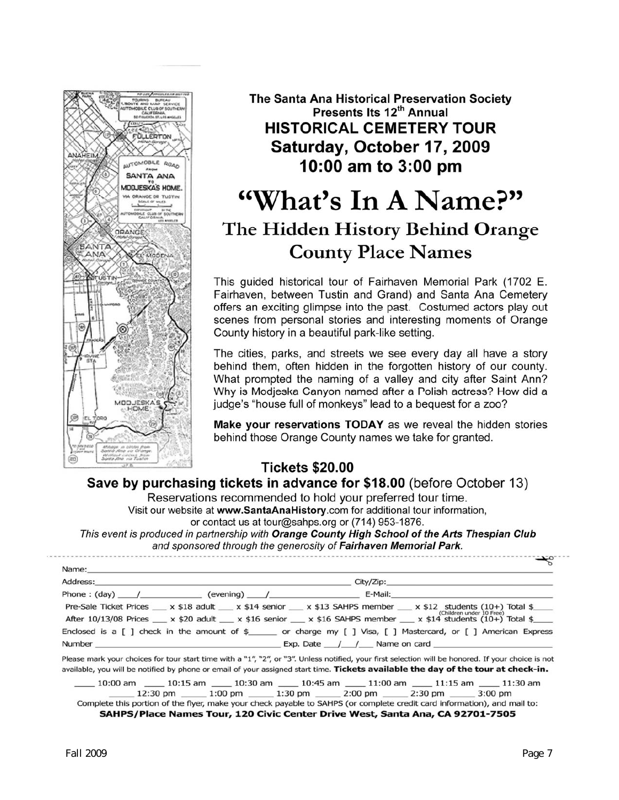

The Santa Ana Historical Preservation Society Presents Its 12<sup>th</sup> Annual **HISTORICAL CEMETERY TOUR** Saturday, October 17, 2009 10:00 am to 3:00 pm

## "What's In A Name?" The Hidden History Behind Orange **County Place Names**

This guided historical tour of Fairhaven Memorial Park (1702 E. Fairhaven, between Tustin and Grand) and Santa Ana Cemetery offers an exciting glimpse into the past. Costumed actors play out scenes from personal stories and interesting moments of Orange County history in a beautiful park-like setting.

The cities, parks, and streets we see every day all have a story behind them, often hidden in the forgotten history of our county. What prompted the naming of a valley and city after Saint Ann? Why is Modjeska Canyon named after a Polish actress? How did a judge's "house full of monkeys" lead to a bequest for a zoo?

Make your reservations TODAY as we reveal the hidden stories behind those Orange County names we take for granted.

#### **Tickets \$20.00**

Save by purchasing tickets in advance for \$18.00 (before October 13)

Reservations recommended to hold your preferred tour time. Visit our website at www.SantaAnaHistory.com for additional tour information,

or contact us at tour@sahps.org or (714) 953-1876.

This event is produced in partnership with Orange County High School of the Arts Thespian Club and sponsored through the generosity of Fairhaven Memorial Park.

Name:

| Address: |                                    |                                                                                                                                                    |  |
|----------|------------------------------------|----------------------------------------------------------------------------------------------------------------------------------------------------|--|
|          | Phone: (day) / (evening) / E-Mail: |                                                                                                                                                    |  |
|          |                                    | Pre-Sale Ticket Prices $x$ \$18 adult $x$ \$14 senior $x$ \$13 SAHPS member $x$ \$12 students (10+) Total \$<br>(Children under 10 Free)           |  |
|          |                                    | After 10/13/08 Prices $x$ \$20 adult $x$ \$16 senior $x$ \$16 SAHPS member $x$ \$14 students (10+) Total \$                                        |  |
|          |                                    | Enclosed is a $\lceil$ 1 check in the amount of $\frac{1}{2}$ or charge my $\lceil$ 1 Visa, $\lceil$ 1 Mastercard, or $\lceil$ 1 American Express  |  |
|          |                                    | Exp. Date $\frac{1}{2}$ $\frac{1}{2}$ Name on card                                                                                                 |  |
|          |                                    | Please mark your choices for tour start time with a "1", "2", or "3". Unless notified, your first selection will be honored. If your choice is not |  |

available, you will be notified by phone or email of your assigned start time. Tickets available the day of the tour at check-in.

 $\_$  10:15 am  $\_$  10:30 am  $\_$  10:45 am  $\_$  11:00 am  $\_$  11:15 am  $\_$  $-10:00$  am  $-11:30$  am 1:30 pm 1:30 pm 1:30 pm 2:00 pm 2:00 pm 2:30 pm 3:00 pm Complete this portion of the flyer, make your check payable to SAHPS (or complete credit card information), and mail to:

SAHPS/Place Names Tour, 120 Civic Center Drive West, Santa Ana, CA 92701-7505